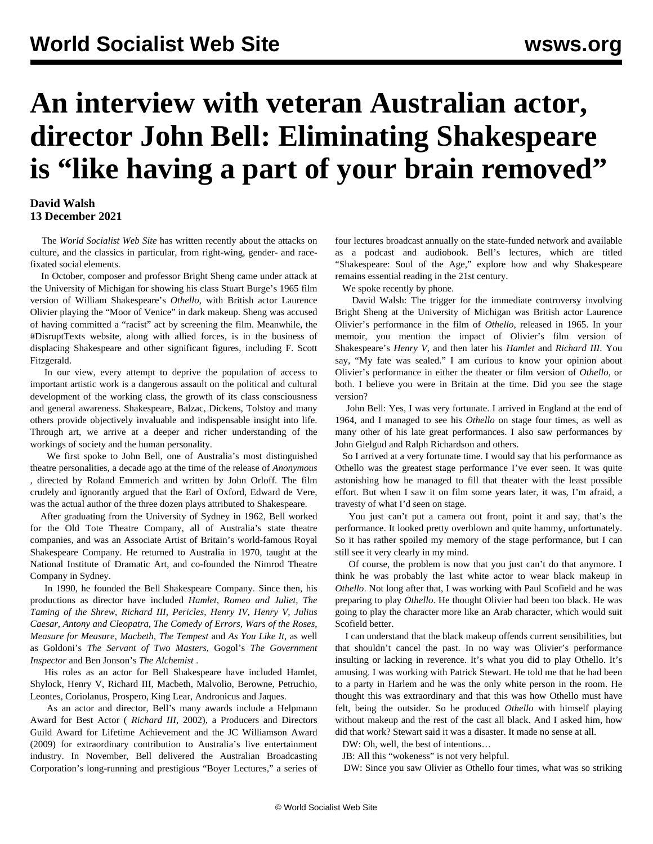## **An interview with veteran Australian actor, director John Bell: Eliminating Shakespeare is "like having a part of your brain removed"**

## **David Walsh 13 December 2021**

 The *World Socialist Web Site* has written recently about the attacks on culture, and the classics in particular, from right-wing, gender- and racefixated social elements.

 In October, composer and professor Bright Sheng came under attack at the University of Michigan for showing his class Stuart Burge's 1965 film version of William Shakespeare's *Othello*, with British actor Laurence Olivier playing the "Moor of Venice" in dark makeup. Sheng was accused of having committed a "racist" act by screening the film. Meanwhile, the #DisruptTexts website, along with allied forces, is in the business of displacing Shakespeare and other significant figures, including F. Scott Fitzgerald.

 In our view, every attempt to deprive the population of access to important artistic work is a dangerous assault on the political and cultural development of the working class, the growth of its class consciousness and general awareness. Shakespeare, Balzac, Dickens, Tolstoy and many others provide objectively invaluable and indispensable insight into life. Through art, we arrive at a deeper and richer understanding of the workings of society and the human personality.

 We first spoke to John Bell, one of Australia's most distinguished theatre personalities, a decade ago at the time of the release of *[Anonymous](/en/articles/2011/11/anon-n23.html)* , directed by Roland Emmerich and written by John Orloff. The film crudely and ignorantly argued that the Earl of Oxford, Edward de Vere, was the actual author of the three dozen plays attributed to Shakespeare.

 After graduating from the University of Sydney in 1962, Bell worked for the Old Tote Theatre Company, all of Australia's state theatre companies, and was an Associate Artist of Britain's world-famous Royal Shakespeare Company. He returned to Australia in 1970, taught at the National Institute of Dramatic Art, and co-founded the Nimrod Theatre Company in Sydney.

 In 1990, he founded the Bell Shakespeare Company. Since then, his productions as director have included *Hamlet, Romeo and Juliet, The Taming of the Shrew, Richard III, Pericles, Henry IV, Henry V, Julius Caesar, Antony and Cleopatra, The Comedy of Errors, Wars of the Roses, Measure for Measure, Macbeth, The Tempest* and *As You Like It*, as well as Goldoni's *The Servant of Two Masters*, Gogol's *The Government Inspector* and Ben Jonson's *The Alchemist* .

 His roles as an actor for Bell Shakespeare have included Hamlet, Shylock, Henry V, Richard III, Macbeth, Malvolio, Berowne, Petruchio, Leontes, Coriolanus, Prospero, King Lear, Andronicus and Jaques.

 As an actor and director, Bell's many awards include a Helpmann Award for Best Actor ( *Richard III*, 2002), a Producers and Directors Guild Award for Lifetime Achievement and the JC Williamson Award (2009) for extraordinary contribution to Australia's live entertainment industry. In November, Bell delivered the Australian Broadcasting Corporation's long-running and prestigious "Boyer Lectures," a series of four lectures broadcast annually on the state-funded network and available as a podcast and audiobook. Bell's lectures, which are titled "Shakespeare: Soul of the Age," explore how and why Shakespeare remains essential reading in the 21st century.

We spoke recently by phone.

 David Walsh: The trigger for the immediate controversy involving Bright Sheng at the University of Michigan was British actor Laurence Olivier's performance in the film of *Othello*, released in 1965. In your memoir, you mention the impact of Olivier's film version of Shakespeare's *Henry V*, and then later his *Hamlet* and *Richard III*. You say, "My fate was sealed." I am curious to know your opinion about Olivier's performance in either the theater or film version of *Othello*, or both. I believe you were in Britain at the time. Did you see the stage version?

 John Bell: Yes, I was very fortunate. I arrived in England at the end of 1964, and I managed to see his *Othello* on stage four times, as well as many other of his late great performances. I also saw performances by John Gielgud and Ralph Richardson and others.

 So I arrived at a very fortunate time. I would say that his performance as Othello was the greatest stage performance I've ever seen. It was quite astonishing how he managed to fill that theater with the least possible effort. But when I saw it on film some years later, it was, I'm afraid, a travesty of what I'd seen on stage.

 You just can't put a camera out front, point it and say, that's the performance. It looked pretty overblown and quite hammy, unfortunately. So it has rather spoiled my memory of the stage performance, but I can still see it very clearly in my mind.

 Of course, the problem is now that you just can't do that anymore. I think he was probably the last white actor to wear black makeup in *Othello*. Not long after that, I was working with Paul Scofield and he was preparing to play *Othello*. He thought Olivier had been too black. He was going to play the character more like an Arab character, which would suit Scofield better.

 I can understand that the black makeup offends current sensibilities, but that shouldn't cancel the past. In no way was Olivier's performance insulting or lacking in reverence. It's what you did to play Othello. It's amusing. I was working with Patrick Stewart. He told me that he had been to a party in Harlem and he was the only white person in the room. He thought this was extraordinary and that this was how Othello must have felt, being the outsider. So he produced *Othello* with himself playing without makeup and the rest of the cast all black. And I asked him, how did that work? Stewart said it was a disaster. It made no sense at all.

DW: Oh, well, the best of intentions…

JB: All this "wokeness" is not very helpful.

DW: Since you saw Olivier as Othello four times, what was so striking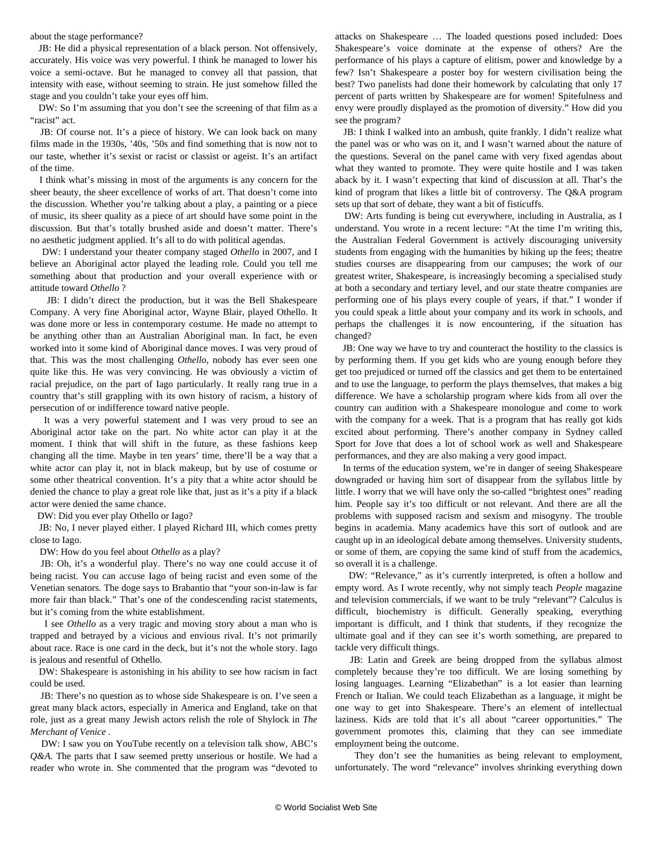about the stage performance?

 JB: He did a physical representation of a black person. Not offensively, accurately. His voice was very powerful. I think he managed to lower his voice a semi-octave. But he managed to convey all that passion, that intensity with ease, without seeming to strain. He just somehow filled the stage and you couldn't take your eyes off him.

 DW: So I'm assuming that you don't see the screening of that film as a "racist" act.

 JB: Of course not. It's a piece of history. We can look back on many films made in the 1930s, '40s, '50s and find something that is now not to our taste, whether it's sexist or racist or classist or ageist. It's an artifact of the time.

 I think what's missing in most of the arguments is any concern for the sheer beauty, the sheer excellence of works of art. That doesn't come into the discussion. Whether you're talking about a play, a painting or a piece of music, its sheer quality as a piece of art should have some point in the discussion. But that's totally brushed aside and doesn't matter. There's no aesthetic judgment applied. It's all to do with political agendas.

 DW: I understand your theater company staged *Othello* in 2007, and I believe an Aboriginal actor played the leading role. Could you tell me something about that production and your overall experience with or attitude toward *Othello* ?

 JB: I didn't direct the production, but it was the Bell Shakespeare Company. A very fine Aboriginal actor, Wayne Blair, played Othello. It was done more or less in contemporary costume. He made no attempt to be anything other than an Australian Aboriginal man. In fact, he even worked into it some kind of Aboriginal dance moves. I was very proud of that. This was the most challenging *Othello*, nobody has ever seen one quite like this. He was very convincing. He was obviously a victim of racial prejudice, on the part of Iago particularly. It really rang true in a country that's still grappling with its own history of racism, a history of persecution of or indifference toward native people.

 It was a very powerful statement and I was very proud to see an Aboriginal actor take on the part. No white actor can play it at the moment. I think that will shift in the future, as these fashions keep changing all the time. Maybe in ten years' time, there'll be a way that a white actor can play it, not in black makeup, but by use of costume or some other theatrical convention. It's a pity that a white actor should be denied the chance to play a great role like that, just as it's a pity if a black actor were denied the same chance.

DW: Did you ever play Othello or Iago?

 JB: No, I never played either. I played Richard III, which comes pretty close to Iago.

DW: How do you feel about *Othello* as a play?

 JB: Oh, it's a wonderful play. There's no way one could accuse it of being racist. You can accuse Iago of being racist and even some of the Venetian senators. The doge says to Brabantio that "your son-in-law is far more fair than black." That's one of the condescending racist statements, but it's coming from the white establishment.

 I see *Othello* as a very tragic and moving story about a man who is trapped and betrayed by a vicious and envious rival. It's not primarily about race. Race is one card in the deck, but it's not the whole story. Iago is jealous and resentful of Othello.

 DW: Shakespeare is astonishing in his ability to see how racism in fact could be used.

 JB: There's no question as to whose side Shakespeare is on. I've seen a great many black actors, especially in America and England, take on that role, just as a great many Jewish actors relish the role of Shylock in *The Merchant of Venice* .

 DW: I saw you on YouTube recently on a television talk show, ABC's *Q&A*. The parts that I saw seemed pretty unserious or hostile. We had a reader who wrote in. She commented that the program was "devoted to attacks on Shakespeare … The loaded questions posed included: Does Shakespeare's voice dominate at the expense of others? Are the performance of his plays a capture of elitism, power and knowledge by a few? Isn't Shakespeare a poster boy for western civilisation being the best? Two panelists had done their homework by calculating that only 17 percent of parts written by Shakespeare are for women! Spitefulness and envy were proudly displayed as the promotion of diversity." How did you see the program?

 JB: I think I walked into an ambush, quite frankly. I didn't realize what the panel was or who was on it, and I wasn't warned about the nature of the questions. Several on the panel came with very fixed agendas about what they wanted to promote. They were quite hostile and I was taken aback by it. I wasn't expecting that kind of discussion at all. That's the kind of program that likes a little bit of controversy. The Q&A program sets up that sort of debate, they want a bit of fisticuffs.

 DW: Arts funding is being cut everywhere, including in Australia, as I understand. You wrote in a recent lecture: "At the time I'm writing this, the Australian Federal Government is actively discouraging university students from engaging with the humanities by hiking up the fees; theatre studies courses are disappearing from our campuses; the work of our greatest writer, Shakespeare, is increasingly becoming a specialised study at both a secondary and tertiary level, and our state theatre companies are performing one of his plays every couple of years, if that." I wonder if you could speak a little about your company and its work in schools, and perhaps the challenges it is now encountering, if the situation has changed?

 JB: One way we have to try and counteract the hostility to the classics is by performing them. If you get kids who are young enough before they get too prejudiced or turned off the classics and get them to be entertained and to use the language, to perform the plays themselves, that makes a big difference. We have a scholarship program where kids from all over the country can audition with a Shakespeare monologue and come to work with the company for a week. That is a program that has really got kids excited about performing. There's another company in Sydney called Sport for Jove that does a lot of school work as well and Shakespeare performances, and they are also making a very good impact.

 In terms of the education system, we're in danger of seeing Shakespeare downgraded or having him sort of disappear from the syllabus little by little. I worry that we will have only the so-called "brightest ones" reading him. People say it's too difficult or not relevant. And there are all the problems with supposed racism and sexism and misogyny. The trouble begins in academia. Many academics have this sort of outlook and are caught up in an ideological debate among themselves. University students, or some of them, are copying the same kind of stuff from the academics, so overall it is a challenge.

 DW: "Relevance," as it's currently interpreted, is often a hollow and empty word. As I wrote recently, why not simply teach *People* magazine and television commercials, if we want to be truly "relevant"? Calculus is difficult, biochemistry is difficult. Generally speaking, everything important is difficult, and I think that students, if they recognize the ultimate goal and if they can see it's worth something, are prepared to tackle very difficult things.

 JB: Latin and Greek are being dropped from the syllabus almost completely because they're too difficult. We are losing something by losing languages. Learning "Elizabethan" is a lot easier than learning French or Italian. We could teach Elizabethan as a language, it might be one way to get into Shakespeare. There's an element of intellectual laziness. Kids are told that it's all about "career opportunities." The government promotes this, claiming that they can see immediate employment being the outcome.

 They don't see the humanities as being relevant to employment, unfortunately. The word "relevance" involves shrinking everything down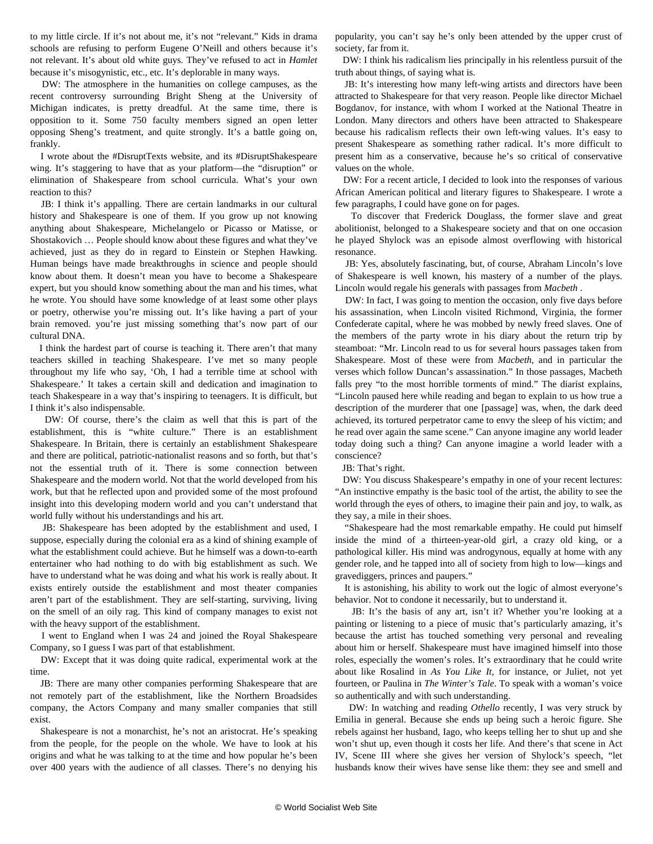to my little circle. If it's not about me, it's not "relevant." Kids in drama schools are refusing to perform Eugene O'Neill and others because it's not relevant. It's about old white guys. They've refused to act in *Hamlet* because it's misogynistic, etc., etc. It's deplorable in many ways.

 DW: The atmosphere in the humanities on college campuses, as the recent controversy surrounding Bright Sheng at the University of Michigan indicates, is pretty dreadful. At the same time, there is opposition to it. Some 750 faculty members signed an open letter opposing Sheng's treatment, and quite strongly. It's a battle going on, frankly.

 I wrote about the #DisruptTexts website, and its #DisruptShakespeare wing. It's staggering to have that as your platform—the "disruption" or elimination of Shakespeare from school curricula. What's your own reaction to this?

 JB: I think it's appalling. There are certain landmarks in our cultural history and Shakespeare is one of them. If you grow up not knowing anything about Shakespeare, Michelangelo or Picasso or Matisse, or Shostakovich … People should know about these figures and what they've achieved, just as they do in regard to Einstein or Stephen Hawking. Human beings have made breakthroughs in science and people should know about them. It doesn't mean you have to become a Shakespeare expert, but you should know something about the man and his times, what he wrote. You should have some knowledge of at least some other plays or poetry, otherwise you're missing out. It's like having a part of your brain removed. you're just missing something that's now part of our cultural DNA.

 I think the hardest part of course is teaching it. There aren't that many teachers skilled in teaching Shakespeare. I've met so many people throughout my life who say, 'Oh, I had a terrible time at school with Shakespeare.' It takes a certain skill and dedication and imagination to teach Shakespeare in a way that's inspiring to teenagers. It is difficult, but I think it's also indispensable.

 DW: Of course, there's the claim as well that this is part of the establishment, this is "white culture." There is an establishment Shakespeare. In Britain, there is certainly an establishment Shakespeare and there are political, patriotic-nationalist reasons and so forth, but that's not the essential truth of it. There is some connection between Shakespeare and the modern world. Not that the world developed from his work, but that he reflected upon and provided some of the most profound insight into this developing modern world and you can't understand that world fully without his understandings and his art.

 JB: Shakespeare has been adopted by the establishment and used, I suppose, especially during the colonial era as a kind of shining example of what the establishment could achieve. But he himself was a down-to-earth entertainer who had nothing to do with big establishment as such. We have to understand what he was doing and what his work is really about. It exists entirely outside the establishment and most theater companies aren't part of the establishment. They are self-starting, surviving, living on the smell of an oily rag. This kind of company manages to exist not with the heavy support of the establishment.

 I went to England when I was 24 and joined the Royal Shakespeare Company, so I guess I was part of that establishment.

 DW: Except that it was doing quite radical, experimental work at the time.

 JB: There are many other companies performing Shakespeare that are not remotely part of the establishment, like the Northern Broadsides company, the Actors Company and many smaller companies that still exist.

 Shakespeare is not a monarchist, he's not an aristocrat. He's speaking from the people, for the people on the whole. We have to look at his origins and what he was talking to at the time and how popular he's been over 400 years with the audience of all classes. There's no denying his

popularity, you can't say he's only been attended by the upper crust of society, far from it.

 DW: I think his radicalism lies principally in his relentless pursuit of the truth about things, of saying what is.

 JB: It's interesting how many left-wing artists and directors have been attracted to Shakespeare for that very reason. People like director Michael Bogdanov, for instance, with whom I worked at the National Theatre in London. Many directors and others have been attracted to Shakespeare because his radicalism reflects their own left-wing values. It's easy to present Shakespeare as something rather radical. It's more difficult to present him as a conservative, because he's so critical of conservative values on the whole.

 DW: For a recent article, I decided to look into the responses of various African American political and literary figures to Shakespeare. I wrote a few paragraphs, I could have gone on for pages.

 To discover that Frederick Douglass, the former slave and great abolitionist, belonged to a Shakespeare society and that on one occasion he played Shylock was an episode almost overflowing with historical resonance.

 JB: Yes, absolutely fascinating, but, of course, Abraham Lincoln's love of Shakespeare is well known, his mastery of a number of the plays. Lincoln would regale his generals with passages from *Macbeth* .

 DW: In fact, I was going to mention the occasion, only five days before his assassination, when Lincoln visited Richmond, Virginia, the former Confederate capital, where he was mobbed by newly freed slaves. One of the members of the party wrote in his diary about the return trip by steamboat: "Mr. Lincoln read to us for several hours passages taken from Shakespeare. Most of these were from *Macbeth*, and in particular the verses which follow Duncan's assassination." In those passages, Macbeth falls prey "to the most horrible torments of mind." The diarist explains, "Lincoln paused here while reading and began to explain to us how true a description of the murderer that one [passage] was, when, the dark deed achieved, its tortured perpetrator came to envy the sleep of his victim; and he read over again the same scene." Can anyone imagine any world leader today doing such a thing? Can anyone imagine a world leader with a conscience?

JB: That's right.

 DW: You discuss Shakespeare's empathy in one of your recent lectures: "An instinctive empathy is the basic tool of the artist, the ability to see the world through the eyes of others, to imagine their pain and joy, to walk, as they say, a mile in their shoes.

 "Shakespeare had the most remarkable empathy. He could put himself inside the mind of a thirteen-year-old girl, a crazy old king, or a pathological killer. His mind was androgynous, equally at home with any gender role, and he tapped into all of society from high to low—kings and gravediggers, princes and paupers."

 It is astonishing, his ability to work out the logic of almost everyone's behavior. Not to condone it necessarily, but to understand it.

 JB: It's the basis of any art, isn't it? Whether you're looking at a painting or listening to a piece of music that's particularly amazing, it's because the artist has touched something very personal and revealing about him or herself. Shakespeare must have imagined himself into those roles, especially the women's roles. It's extraordinary that he could write about like Rosalind in *As You Like It*, for instance, or Juliet, not yet fourteen, or Paulina in *The Winter's Tale*. To speak with a woman's voice so authentically and with such understanding.

 DW: In watching and reading *Othello* recently, I was very struck by Emilia in general. Because she ends up being such a heroic figure. She rebels against her husband, Iago, who keeps telling her to shut up and she won't shut up, even though it costs her life. And there's that scene in Act IV, Scene III where she gives her version of Shylock's speech, "let husbands know their wives have sense like them: they see and smell and